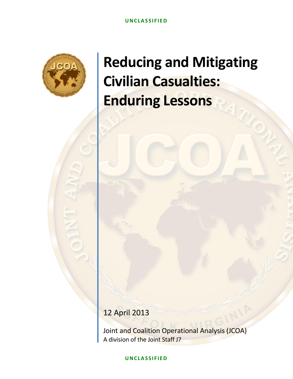

# **Reducing and Mitigating Civilian Casualties: Enduring Lessons**

12 April 2013

Joint and Coalition Operational Analysis (JCOA) A division of the Joint Staff J7

#### **U N C L A S S I F I E D**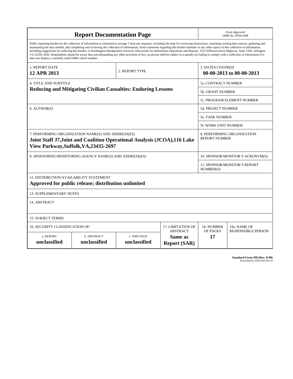| <b>Report Documentation Page</b>                                                                                                                                                                                                                                                                                                                                                                                                                                                                                                                                                                                                                                                                                                                                                                                                                                   |                             |                              |                                                   |                                                    | Form Approved<br>OMB No. 0704-0188        |  |
|--------------------------------------------------------------------------------------------------------------------------------------------------------------------------------------------------------------------------------------------------------------------------------------------------------------------------------------------------------------------------------------------------------------------------------------------------------------------------------------------------------------------------------------------------------------------------------------------------------------------------------------------------------------------------------------------------------------------------------------------------------------------------------------------------------------------------------------------------------------------|-----------------------------|------------------------------|---------------------------------------------------|----------------------------------------------------|-------------------------------------------|--|
| Public reporting burden for the collection of information is estimated to average 1 hour per response, including the time for reviewing instructions, searching existing data sources, gathering and<br>maintaining the data needed, and completing and reviewing the collection of information. Send comments regarding this burden estimate or any other aspect of this collection of information,<br>including suggestions for reducing this burden, to Washington Headquarters Services, Directorate for Information Operations and Reports, 1215 Jefferson Davis Highway, Suite 1204, Arlington<br>VA 22202-4302. Respondents should be aware that notwithstanding any other provision of law, no person shall be subject to a penalty for failing to comply with a collection of information if it<br>does not display a currently valid OMB control number. |                             |                              |                                                   |                                                    |                                           |  |
| 1. REPORT DATE<br>12 APR 2013                                                                                                                                                                                                                                                                                                                                                                                                                                                                                                                                                                                                                                                                                                                                                                                                                                      |                             | 2. REPORT TYPE               |                                                   | <b>3. DATES COVERED</b>                            | 00-00-2013 to 00-00-2013                  |  |
| <b>4. TITLE AND SUBTITLE</b>                                                                                                                                                                                                                                                                                                                                                                                                                                                                                                                                                                                                                                                                                                                                                                                                                                       |                             |                              |                                                   |                                                    | 5a. CONTRACT NUMBER                       |  |
| <b>Reducing and Mitigating Civilian Casualties: Enduring Lessons</b>                                                                                                                                                                                                                                                                                                                                                                                                                                                                                                                                                                                                                                                                                                                                                                                               |                             |                              |                                                   |                                                    | <b>5b. GRANT NUMBER</b>                   |  |
|                                                                                                                                                                                                                                                                                                                                                                                                                                                                                                                                                                                                                                                                                                                                                                                                                                                                    |                             |                              |                                                   |                                                    | 5c. PROGRAM ELEMENT NUMBER                |  |
| 6. AUTHOR(S)                                                                                                                                                                                                                                                                                                                                                                                                                                                                                                                                                                                                                                                                                                                                                                                                                                                       |                             |                              |                                                   |                                                    | <b>5d. PROJECT NUMBER</b>                 |  |
|                                                                                                                                                                                                                                                                                                                                                                                                                                                                                                                                                                                                                                                                                                                                                                                                                                                                    |                             |                              |                                                   |                                                    | 5e. TASK NUMBER                           |  |
|                                                                                                                                                                                                                                                                                                                                                                                                                                                                                                                                                                                                                                                                                                                                                                                                                                                                    |                             |                              |                                                   |                                                    | 5f. WORK UNIT NUMBER                      |  |
| 7. PERFORMING ORGANIZATION NAME(S) AND ADDRESS(ES)<br>Joint Staff J7, Joint and Coalition Operational Analysis (JCOA), 116 Lake<br>View Parkway, Suffolk, VA, 23435-2697                                                                                                                                                                                                                                                                                                                                                                                                                                                                                                                                                                                                                                                                                           |                             |                              |                                                   | 8. PERFORMING ORGANIZATION<br><b>REPORT NUMBER</b> |                                           |  |
| 9. SPONSORING/MONITORING AGENCY NAME(S) AND ADDRESS(ES)                                                                                                                                                                                                                                                                                                                                                                                                                                                                                                                                                                                                                                                                                                                                                                                                            |                             |                              |                                                   |                                                    | 10. SPONSOR/MONITOR'S ACRONYM(S)          |  |
|                                                                                                                                                                                                                                                                                                                                                                                                                                                                                                                                                                                                                                                                                                                                                                                                                                                                    |                             |                              |                                                   |                                                    | 11. SPONSOR/MONITOR'S REPORT<br>NUMBER(S) |  |
| 12. DISTRIBUTION/AVAILABILITY STATEMENT<br>Approved for public release; distribution unlimited                                                                                                                                                                                                                                                                                                                                                                                                                                                                                                                                                                                                                                                                                                                                                                     |                             |                              |                                                   |                                                    |                                           |  |
| <b>13. SUPPLEMENTARY NOTES</b>                                                                                                                                                                                                                                                                                                                                                                                                                                                                                                                                                                                                                                                                                                                                                                                                                                     |                             |                              |                                                   |                                                    |                                           |  |
| 14. ABSTRACT                                                                                                                                                                                                                                                                                                                                                                                                                                                                                                                                                                                                                                                                                                                                                                                                                                                       |                             |                              |                                                   |                                                    |                                           |  |
| <b>15. SUBJECT TERMS</b>                                                                                                                                                                                                                                                                                                                                                                                                                                                                                                                                                                                                                                                                                                                                                                                                                                           |                             |                              |                                                   |                                                    |                                           |  |
| 16. SECURITY CLASSIFICATION OF:                                                                                                                                                                                                                                                                                                                                                                                                                                                                                                                                                                                                                                                                                                                                                                                                                                    | 17. LIMITATION OF           | 18. NUMBER                   | 19a. NAME OF                                      |                                                    |                                           |  |
| a. REPORT<br>unclassified                                                                                                                                                                                                                                                                                                                                                                                                                                                                                                                                                                                                                                                                                                                                                                                                                                          | b. ABSTRACT<br>unclassified | c. THIS PAGE<br>unclassified | <b>ABSTRACT</b><br>Same as<br><b>Report (SAR)</b> | OF PAGES<br>17                                     | <b>RESPONSIBLE PERSON</b>                 |  |

**Standard Form 298 (Rev. 8-98)**<br>Prescribed by ANSI Std Z39-18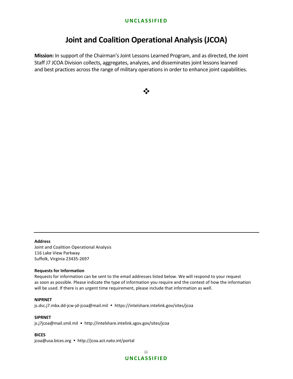# **Joint and Coalition Operational Analysis (JCOA)**

**Mission:** In support of the Chairman's Joint Lessons Learned Program, and as directed, the Joint Staff J7 JCOA Division collects, aggregates, analyzes, and disseminates joint lessons learned and best practices across the range of military operations in order to enhance joint capabilities.

❖

**Address**

Joint and Coalition Operational Analysis 116 Lake View Parkway Suffolk, Virginia 23435-2697

#### **Requests for Information**

Requests for information can be sent to the email addresses listed below. We will respond to your request as soon as possible. Please indicate the type of information you require and the context of how the information will be used. If there is an urgent time requirement, please include that information as well.

#### **NIPRNET**

js.dsc.j7.mbx.dd-jcw-jd-jcoa@mail.mil https://intelshare.intelink.gov/sites/jcoa

**SIPRNET** 

js.j7jcoa@mail.smil.mil • http://intelshare.intelink.sgov.gov/sites/jcoa

**BICES**

jcoa@usa.bices.org http://jcoa.act.nato.int/portal

## **U N C L A S S I F I E D**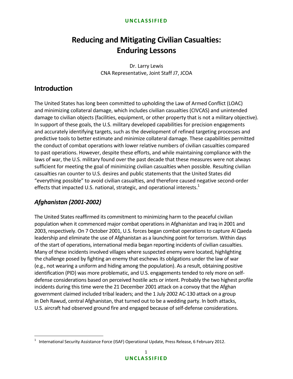# **Reducing and Mitigating Civilian Casualties: Enduring Lessons**

Dr. Larry Lewis CNA Representative, Joint Staff J7, JCOA

# **Introduction**

The United States has long been committed to upholding the Law of Armed Conflict (LOAC) and minimizing collateral damage, which includes civilian casualties (CIVCAS) and unintended damage to civilian objects (facilities, equipment, or other property that is not a military objective). In support of these goals, the U.S. military developed capabilities for precision engagements and accurately identifying targets, such as the development of refined targeting processes and predictive tools to better estimate and minimize collateral damage. These capabilities permitted the conduct of combat operations with lower relative numbers of civilian casualties compared to past operations. However, despite these efforts, and while maintaining compliance with the laws of war, the U.S. military found over the past decade that these measures were not always sufficient for meeting the goal of minimizing civilian casualties when possible. Resulting civilian casualties ran counter to U.S. desires and public statements that the United States did "everything possible" to avoid civilian casualties, and therefore caused negative second-order effects that impacted U.S. national, strategic, and operational interests. $<sup>1</sup>$ </sup>

## *Afghanistan (2001-2002)*

 $\overline{a}$ 

The United States reaffirmed its commitment to minimizing harm to the peaceful civilian population when it commenced major combat operations in Afghanistan and Iraq in 2001 and 2003, respectively. On 7 October 2001, U.S. forces began combat operations to capture Al Qaeda leadership and eliminate the use of Afghanistan as a launching point for terrorism. Within days of the start of operations, international media began reporting incidents of civilian casualties. Many of these incidents involved villages where suspected enemy were located, highlighting the challenge posed by fighting an enemy that eschews its obligations under the law of war (e.g., not wearing a uniform and hiding among the population). As a result, obtaining positive identification (PID) was more problematic, and U.S. engagements tended to rely more on selfdefense considerations based on perceived hostile acts or intent. Probably the two highest profile incidents during this time were the 21 December 2001 attack on a convoy that the Afghan government claimed included tribal leaders; and the 1 July 2002 AC-130 attack on a group in Deh Rawud, central Afghanistan, that turned out to be a wedding party. In both attacks, U.S. aircraft had observed ground fire and engaged because of self-defense considerations.

<sup>&</sup>lt;sup>1</sup> International Security Assistance Force (ISAF) Operational Update, Press Release, 6 February 2012.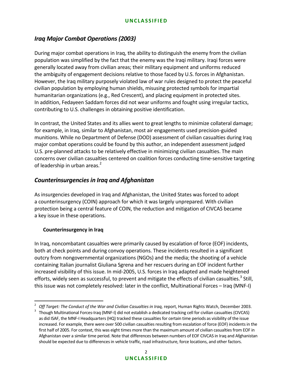## *Iraq Major Combat Operations (2003)*

During major combat operations in Iraq, the ability to distinguish the enemy from the civilian population was simplified by the fact that the enemy was the Iraqi military. Iraqi forces were generally located away from civilian areas; their military equipment and uniforms reduced the ambiguity of engagement decisions relative to those faced by U.S. forces in Afghanistan. However, the Iraq military purposely violated law of war rules designed to protect the peaceful civilian population by employing human shields, misusing protected symbols for impartial humanitarian organizations (e.g., Red Crescent), and placing equipment in protected sites. In addition, Fedayeen Saddam forces did not wear uniforms and fought using irregular tactics, contributing to U.S. challenges in obtaining positive identification.

In contrast, the United States and its allies went to great lengths to minimize collateral damage; for example, in Iraq, similar to Afghanistan, most air engagements used precision-guided munitions. While no Department of Defense (DOD) assessment of civilian casualties during Iraq major combat operations could be found by this author, an independent assessment judged U.S. pre-planned attacks to be relatively effective in minimizing civilian casualties. The main concerns over civilian casualties centered on coalition forces conducting time-sensitive targeting of leadership in urban areas.<sup>2</sup>

#### *Counterinsurgencies in Iraq and Afghanistan*

As insurgencies developed in Iraq and Afghanistan, the United States was forced to adopt a counterinsurgency (COIN) approach for which it was largely unprepared. With civilian protection being a central feature of COIN, the reduction and mitigation of CIVCAS became a key issue in these operations.

#### **Counterinsurgency in Iraq**

 $\overline{a}$ 

In Iraq, noncombatant casualties were primarily caused by escalation of force (EOF) incidents, both at check points and during convoy operations. These incidents resulted in a significant outcry from nongovernmental organizations (NGOs) and the media; the shooting of a vehicle containing Italian journalist Giuliana Sgrena and her rescuers during an EOF incident further increased visibility of this issue. In mid-2005, U.S. forces in Iraq adapted and made heightened efforts, widely seen as successful, to prevent and mitigate the effects of civilian casualties.<sup>3</sup> Still, this issue was not completely resolved: later in the conflict, Multinational Forces – Iraq (MNF-I)

<sup>2</sup> *Off Target: The Conduct of the War and Civilian Casualties in Iraq,* report, Human Rights Watch, December 2003. 3

Though Multinational Forces-Iraq (MNF-I) did not establish a dedicated tracking cell for civilian casualties (CIVCAS) as did ISAF, the MNF-I Headquarters (HQ) tracked these casualties for certain time periods as visibility of the issue increased. For example, there were over 500 civilian casualties resulting from escalation of force (EOF) incidents in the first half of 2005. For context, this was eight times more than the maximum amount of civilian casualties from EOF in Afghanistan over a similar time period. Note that differences between numbers of EOF CIVCAS in Iraq and Afghanistan should be expected due to differences in vehicle traffic, road infrastructure, force locations, and other factors.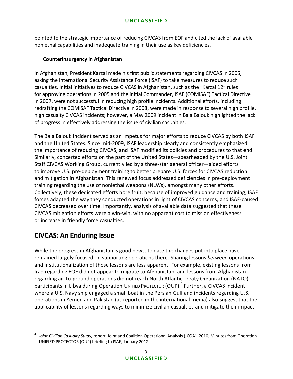pointed to the strategic importance of reducing CIVCAS from EOF and cited the lack of available nonlethal capabilities and inadequate training in their use as key deficiencies.

#### **Counterinsurgency in Afghanistan**

In Afghanistan, President Karzai made his first public statements regarding CIVCAS in 2005, asking the International Security Assistance Force (ISAF) to take measures to reduce such casualties. Initial initiatives to reduce CIVCAS in Afghanistan, such as the "Karzai 12" rules for approving operations in 2005 and the initial Commander, ISAF (COMISAF) Tactical Directive in 2007, were not successful in reducing high profile incidents. Additional efforts, including redrafting the COMISAF Tactical Directive in 2008, were made in response to several high profile, high casualty CIVCAS incidents; however, a May 2009 incident in Bala Balouk highlighted the lack of progress in effectively addressing the issue of civilian casualties.

The Bala Balouk incident served as an impetus for major efforts to reduce CIVCAS by both ISAF and the United States. Since mid-2009, ISAF leadership clearly and consistently emphasized the importance of reducing CIVCAS, and ISAF modified its policies and procedures to that end. Similarly, concerted efforts on the part of the United States—spearheaded by the U.S. Joint Staff CIVCAS Working Group, currently led by a three-star general officer—aided efforts to improve U.S. pre-deployment training to better prepare U.S. forces for CIVCAS reduction and mitigation in Afghanistan. This renewed focus addressed deficiencies in pre-deployment training regarding the use of nonlethal weapons (NLWs), amongst many other efforts. Collectively, these dedicated efforts bore fruit: because of improved guidance and training, ISAF forces adapted the way they conducted operations in light of CIVCAS concerns, and ISAF-caused CIVCAS decreased over time. Importantly, analysis of available data suggested that these CIVCAS mitigation efforts were a win-win, with no apparent cost to mission effectiveness or increase in friendly force casualties.

# **CIVCAS: An Enduring Issue**

 $\overline{a}$ 

While the progress in Afghanistan is good news, to date the changes put into place have remained largely focused on supporting operations there. Sharing lessons *between* operations and institutionalization of those lessons are less apparent. For example, existing lessons from Iraq regarding EOF did not appear to migrate to Afghanistan, and lessons from Afghanistan regarding air-to-ground operations did not reach North Atlantic Treaty Organization (NATO) participants in Libya during Operation UNIFIED PROTECTOR (OUP).<sup>4</sup> Further, a CIVCAS incident where a U.S. Navy ship engaged a small boat in the Persian Gulf and incidents regarding U.S. operations in Yemen and Pakistan (as reported in the international media) also suggest that the applicability of lessons regarding ways to minimize civilian casualties and mitigate their impact

<sup>4</sup> *Joint Civilian Casualty Study,* report, Joint and Coalition Operational Analysis (JCOA), 2010; Minutes from Operation UNIFIED PROTECTOR (OUP) briefing to ISAF, January 2012.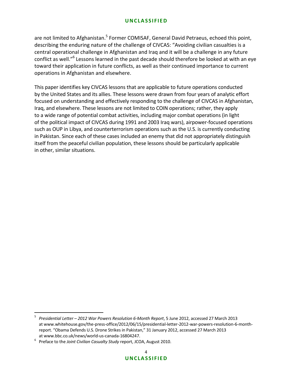are not limited to Afghanistan.<sup>5</sup> Former COMISAF, General David Petraeus, echoed this point, describing the enduring nature of the challenge of CIVCAS: "Avoiding civilian casualties is a central operational challenge in Afghanistan and Iraq and it will be a challenge in any future conflict as well."<sup>6</sup> Lessons learned in the past decade should therefore be looked at with an eye toward their application in future conflicts, as well as their continued importance to current operations in Afghanistan and elsewhere.

This paper identifies key CIVCAS lessons that are applicable to future operations conducted by the United States and its allies. These lessons were drawn from four years of analytic effort focused on understanding and effectively responding to the challenge of CIVCAS in Afghanistan, Iraq, and elsewhere. These lessons are not limited to COIN operations; rather, they apply to a wide range of potential combat activities, including major combat operations (in light of the political impact of CIVCAS during 1991 and 2003 Iraq wars), airpower-focused operations such as OUP in Libya, and counterterrorism operations such as the U.S. is currently conducting in Pakistan. Since each of these cases included an enemy that did not appropriately distinguish itself from the peaceful civilian population, these lessons should be particularly applicable in other, similar situations.

 $\overline{a}$ 

<sup>5</sup> *Presidential Letter – 2012 War Powers Resolution 6-Month Report*, 5 June 2012, accessed 27 March 2013 at www.whitehouse.gov/the-press-office/2012/06/15/presidential-letter-2012-war-powers-resolution-6-monthreport. "Obama Defends U.S. Drone Strikes in Pakistan," 31 January 2012, accessed 27 March 2013 at www.bbc.co.uk/news/world-us-canada-16804247.

<sup>6</sup> Preface to the *Joint Civilian Casualty Study* report, JCOA, August 2010.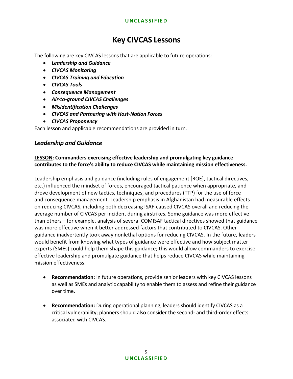# **Key CIVCAS Lessons**

The following are key CIVCAS lessons that are applicable to future operations:

- *Leadership and Guidance*
- *CIVCAS Monitoring*
- *CIVCAS Training and Education*
- *CIVCAS Tools*
- *Consequence Management*
- *Air-to-ground CIVCAS Challenges*
- *Misidentification Challenges*
- *CIVCAS and Partnering with Host-Nation Forces*
- *CIVCAS Proponency*

Each lesson and applicable recommendations are provided in turn.

#### *Leadership and Guidance*

#### **LESSON: Commanders exercising effective leadership and promulgating key guidance contributes to the force's ability to reduce CIVCAS while maintaining mission effectiveness.**

Leadership emphasis and guidance (including rules of engagement [ROE], tactical directives, etc.) influenced the mindset of forces, encouraged tactical patience when appropriate, and drove development of new tactics, techniques, and procedures (TTP) for the use of force and consequence management. Leadership emphasis in Afghanistan had measurable effects on reducing CIVCAS, including both decreasing ISAF-caused CIVCAS overall and reducing the average number of CIVCAS per incident during airstrikes. Some guidance was more effective than others—for example, analysis of several COMISAF tactical directives showed that guidance was more effective when it better addressed factors that contributed to CIVCAS. Other guidance inadvertently took away nonlethal options for reducing CIVCAS. In the future, leaders would benefit from knowing what types of guidance were effective and how subject matter experts (SMEs) could help them shape this guidance; this would allow commanders to exercise effective leadership and promulgate guidance that helps reduce CIVCAS while maintaining mission effectiveness.

- **Recommendation:** In future operations, provide senior leaders with key CIVCAS lessons as well as SMEs and analytic capability to enable them to assess and refine their guidance over time.
- **Recommendation:** During operational planning, leaders should identify CIVCAS as a critical vulnerability; planners should also consider the second- and third-order effects associated with CIVCAS.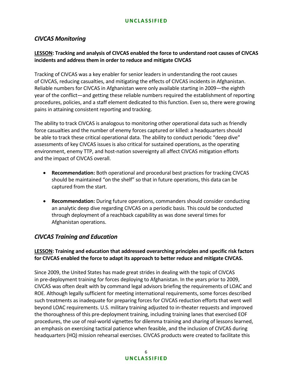#### *CIVCAS Monitoring*

#### **LESSON: Tracking and analysis of CIVCAS enabled the force to understand root causes of CIVCAS incidents and address them in order to reduce and mitigate CIVCAS**

Tracking of CIVCAS was a key enabler for senior leaders in understanding the root causes of CIVCAS, reducing casualties, and mitigating the effects of CIVCAS incidents in Afghanistan. Reliable numbers for CIVCAS in Afghanistan were only available starting in 2009—the eighth year of the conflict—and getting these reliable numbers required the establishment of reporting procedures, policies, and a staff element dedicated to this function. Even so, there were growing pains in attaining consistent reporting and tracking.

The ability to track CIVCAS is analogous to monitoring other operational data such as friendly force casualties and the number of enemy forces captured or killed: a headquarters should be able to track these critical operational data. The ability to conduct periodic "deep dive" assessments of key CIVCAS issues is also critical for sustained operations, as the operating environment, enemy TTP, and host-nation sovereignty all affect CIVCAS mitigation efforts and the impact of CIVCAS overall.

- **Recommendation:** Both operational and procedural best practices for tracking CIVCAS should be maintained "on the shelf" so that in future operations, this data can be captured from the start.
- **Recommendation:** During future operations, commanders should consider conducting an analytic deep dive regarding CIVCAS on a periodic basis. This could be conducted through deployment of a reachback capability as was done several times for Afghanistan operations.

#### *CIVCAS Training and Education*

#### **LESSON: Training and education that addressed overarching principles and specific risk factors for CIVCAS enabled the force to adapt its approach to better reduce and mitigate CIVCAS.**

Since 2009, the United States has made great strides in dealing with the topic of CIVCAS in pre-deployment training for forces deploying to Afghanistan. In the years prior to 2009, CIVCAS was often dealt with by command legal advisors briefing the requirements of LOAC and ROE. Although legally sufficient for meeting international requirements, some forces described such treatments as inadequate for preparing forces for CIVCAS reduction efforts that went well beyond LOAC requirements. U.S. military training adjusted to in-theater requests and improved the thoroughness of this pre-deployment training, including training lanes that exercised EOF procedures, the use of real-world vignettes for dilemma training and sharing of lessons learned, an emphasis on exercising tactical patience when feasible, and the inclusion of CIVCAS during headquarters (HQ) mission rehearsal exercises. CIVCAS products were created to facilitate this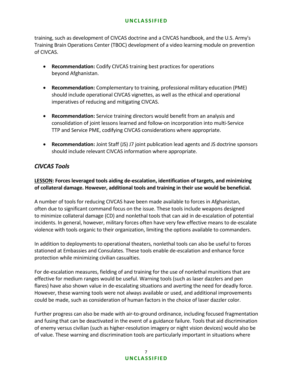training, such as development of CIVCAS doctrine and a CIVCAS handbook, and the U.S. Army's Training Brain Operations Center (TBOC) development of a video learning module on prevention of CIVCAS.

- **Recommendation:** Codify CIVCAS training best practices for operations beyond Afghanistan.
- **Recommendation:** Complementary to training, professional military education (PME) should include operational CIVCAS vignettes, as well as the ethical and operational imperatives of reducing and mitigating CIVCAS.
- **Recommendation:** Service training directors would benefit from an analysis and consolidation of joint lessons learned and follow-on incorporation into multi-Service TTP and Service PME, codifying CIVCAS considerations where appropriate.
- **Recommendation:** Joint Staff (JS) J7 joint publication lead agents and JS doctrine sponsors should include relevant CIVCAS information where appropriate.

#### *CIVCAS Tools*

#### **LESSON: Forces leveraged tools aiding de-escalation, identification of targets, and minimizing of collateral damage. However, additional tools and training in their use would be beneficial.**

A number of tools for reducing CIVCAS have been made available to forces in Afghanistan, often due to significant command focus on the issue. These tools include weapons designed to minimize collateral damage (CD) and nonlethal tools that can aid in de-escalation of potential incidents. In general, however, military forces often have very few effective means to de-escalate violence with tools organic to their organization, limiting the options available to commanders.

In addition to deployments to operational theaters, nonlethal tools can also be useful to forces stationed at Embassies and Consulates. These tools enable de-escalation and enhance force protection while minimizing civilian casualties.

For de-escalation measures, fielding of and training for the use of nonlethal munitions that are effective for medium ranges would be useful. Warning tools (such as laser dazzlers and pen flares) have also shown value in de-escalating situations and averting the need for deadly force. However, these warning tools were not always available or used, and additional improvements could be made, such as consideration of human factors in the choice of laser dazzler color.

Further progress can also be made with air-to-ground ordinance, including focused fragmentation and fusing that can be deactivated in the event of a guidance failure. Tools that aid discrimination of enemy versus civilian (such as higher-resolution imagery or night vision devices) would also be of value. These warning and discrimination tools are particularly important in situations where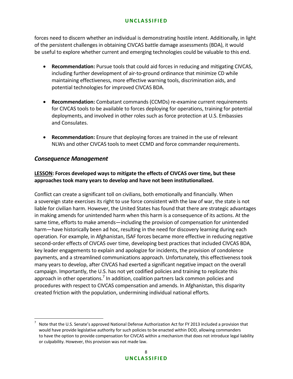forces need to discern whether an individual is demonstrating hostile intent. Additionally, in light of the persistent challenges in obtaining CIVCAS battle damage assessments (BDA), it would be useful to explore whether current and emerging technologies could be valuable to this end.

- **Recommendation:** Pursue tools that could aid forces in reducing and mitigating CIVCAS, including further development of air-to-ground ordinance that minimize CD while maintaining effectiveness, more effective warning tools, discrimination aids, and potential technologies for improved CIVCAS BDA.
- **Recommendation:** Combatant commands (CCMDs) re-examine current requirements for CIVCAS tools to be available to forces deploying for operations, training for potential deployments, and involved in other roles such as force protection at U.S. Embassies and Consulates.
- **Recommendation:** Ensure that deploying forces are trained in the use of relevant NLWs and other CIVCAS tools to meet CCMD and force commander requirements.

### *Consequence Management*

 $\overline{a}$ 

#### **LESSON: Forces developed ways to mitigate the effects of CIVCAS over time, but these approaches took many years to develop and have not been institutionalized.**

Conflict can create a significant toll on civilians, both emotionally and financially. When a sovereign state exercises its right to use force consistent with the law of war, the state is not liable for civilian harm. However, the United States has found that there are strategic advantages in making amends for unintended harm when this harm is a consequence of its actions. At the same time, efforts to make amends—including the provision of compensation for unintended harm—have historically been ad hoc, resulting in the need for discovery learning during each operation. For example, in Afghanistan, ISAF forces became more effective in reducing negative second-order effects of CIVCAS over time, developing best practices that included CIVCAS BDA, key leader engagements to explain and apologize for incidents, the provision of condolence payments, and a streamlined communications approach. Unfortunately, this effectiveness took many years to develop, after CIVCAS had exerted a significant negative impact on the overall campaign. Importantly, the U.S. has not yet codified policies and training to replicate this approach in other operations.<sup>7</sup> In addition, coalition partners lack common policies and procedures with respect to CIVCAS compensation and amends. In Afghanistan, this disparity created friction with the population, undermining individual national efforts.

<sup>7</sup> Note that the U.S. Senate's approved National Defense Authorization Act for FY 2013 included a provision that would have provide legislative authority for such policies to be enacted within DOD, allowing commanders to have the option to provide compensation for CIVCAS within a mechanism that does not introduce legal liability or culpability. However, this provision was not made law.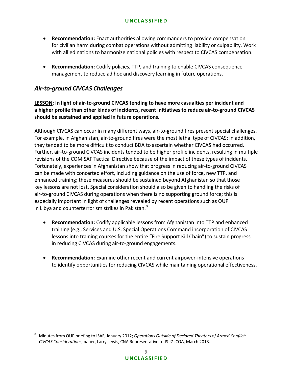- **Recommendation:** Enact authorities allowing commanders to provide compensation for civilian harm during combat operations without admitting liability or culpability. Work with allied nations to harmonize national policies with respect to CIVCAS compensation.
- **Recommendation:** Codify policies, TTP, and training to enable CIVCAS consequence management to reduce ad hoc and discovery learning in future operations.

## *Air-to-ground CIVCAS Challenges*

**LESSON: In light of air-to-ground CIVCAS tending to have more casualties per incident and a higher profile than other kinds of incidents, recent initiatives to reduce air-to-ground CIVCAS should be sustained and applied in future operations.** 

Although CIVCAS can occur in many different ways, air-to-ground fires present special challenges. For example, in Afghanistan, air-to-ground fires were the most lethal type of CIVCAS; in addition, they tended to be more difficult to conduct BDA to ascertain whether CIVCAS had occurred. Further, air-to-ground CIVCAS incidents tended to be higher profile incidents, resulting in multiple revisions of the COMISAF Tactical Directive because of the impact of these types of incidents. Fortunately, experiences in Afghanistan show that progress in reducing air-to-ground CIVCAS can be made with concerted effort, including guidance on the use of force, new TTP, and enhanced training; these measures should be sustained beyond Afghanistan so that those key lessons are not lost. Special consideration should also be given to handling the risks of air-to-ground CIVCAS during operations when there is no supporting ground force; this is especially important in light of challenges revealed by recent operations such as OUP in Libya and counterterrorism strikes in Pakistan.<sup>8</sup>

- **Recommendation:** Codify applicable lessons from Afghanistan into TTP and enhanced training (e.g., Services and U.S. Special Operations Command incorporation of CIVCAS lessons into training courses for the entire "Fire Support Kill Chain") to sustain progress in reducing CIVCAS during air-to-ground engagements.
- **Recommendation:** Examine other recent and current airpower-intensive operations to identify opportunities for reducing CIVCAS while maintaining operational effectiveness.

 $\overline{a}$ <sup>8</sup> Minutes from OUP briefing to ISAF, January 2012; *Operations Outside of Declared Theaters of Armed Conflict: CIVCAS Considerations*, paper, Larry Lewis, CNA Representative to JS J7 JCOA, March 2013.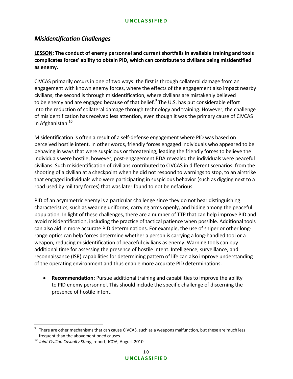#### *Misidentification Challenges*

#### **LESSON: The conduct of enemy personnel and current shortfalls in available training and tools complicates forces' ability to obtain PID, which can contribute to civilians being misidentified as enemy.**

CIVCAS primarily occurs in one of two ways: the first is through collateral damage from an engagement with known enemy forces, where the effects of the engagement also impact nearby civilians; the second is through misidentification, where civilians are mistakenly believed to be enemy and are engaged because of that belief.<sup>9</sup> The U.S. has put considerable effort into the reduction of collateral damage through technology and training. However, the challenge of misidentification has received less attention, even though it was the primary cause of CIVCAS in Afghanistan.<sup>10</sup>

Misidentification is often a result of a self-defense engagement where PID was based on perceived hostile intent. In other words, friendly forces engaged individuals who appeared to be behaving in ways that were suspicious or threatening, leading the friendly forces to believe the individuals were hostile; however, post-engagement BDA revealed the individuals were peaceful civilians. Such misidentification of civilians contributed to CIVCAS in different scenarios: from the shooting of a civilian at a checkpoint when he did not respond to warnings to stop, to an airstrike that engaged individuals who were participating in suspicious behavior (such as digging next to a road used by military forces) that was later found to not be nefarious.

PID of an asymmetric enemy is a particular challenge since they do not bear distinguishing characteristics, such as wearing uniforms, carrying arms openly, and hiding among the peaceful population. In light of these challenges, there are a number of TTP that can help improve PID and avoid misidentification, including the practice of tactical patience when possible. Additional tools can also aid in more accurate PID determinations. For example, the use of sniper or other longrange optics can help forces determine whether a person is carrying a long-handled tool or a weapon, reducing misidentification of peaceful civilians as enemy. Warning tools can buy additional time for assessing the presence of hostile intent. Intelligence, surveillance, and reconnaissance (ISR) capabilities for determining pattern of life can also improve understanding of the operating environment and thus enable more accurate PID determinations.

**Recommendation:** Pursue additional training and capabilities to improve the ability to PID enemy personnel. This should include the specific challenge of discerning the presence of hostile intent.

 $\overline{a}$ 

<sup>9</sup> There are other mechanisms that can cause CIVCAS, such as a weapons malfunction, but these are much less frequent than the abovementioned causes.

<sup>10</sup> *Joint Civilian Casualty Study,* report, JCOA, August 2010.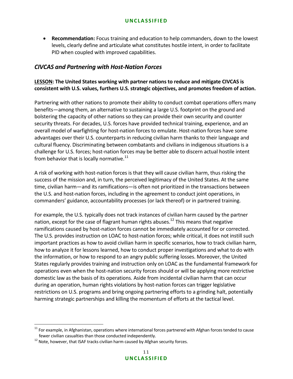**Recommendation:** Focus training and education to help commanders, down to the lowest levels, clearly define and articulate what constitutes hostile intent, in order to facilitate PID when coupled with improved capabilities.

#### *CIVCAS and Partnering with Host-Nation Forces*

#### **LESSON: The United States working with partner nations to reduce and mitigate CIVCAS is consistent with U.S. values, furthers U.S. strategic objectives, and promotes freedom of action.**

Partnering with other nations to promote their ability to conduct combat operations offers many benefits—among them, an alternative to sustaining a large U.S. footprint on the ground and bolstering the capacity of other nations so they can provide their own security and counter security threats. For decades, U.S. forces have provided technical training, experience, and an overall model of warfighting for host-nation forces to emulate. Host-nation forces have some advantages over their U.S. counterparts in reducing civilian harm thanks to their language and cultural fluency. Discriminating between combatants and civilians in indigenous situations is a challenge for U.S. forces; host-nation forces may be better able to discern actual hostile intent from behavior that is locally normative. $^{11}$ 

A risk of working with host-nation forces is that they will cause civilian harm, thus risking the success of the mission and, in turn, the perceived legitimacy of the United States. At the same time, civilian harm—and its ramifications—is often not prioritized in the transactions between the U.S. and host-nation forces, including in the agreement to conduct joint operations, in commanders' guidance, accountability processes (or lack thereof) or in partnered training.

For example, the U.S. typically does not track instances of civilian harm caused by the partner nation, except for the case of flagrant human rights abuses.<sup>12</sup> This means that negative ramifications caused by host-nation forces cannot be immediately accounted for or corrected. The U.S. provides instruction on LOAC to host-nation forces; while critical, it does not instill such important practices as how to avoid civilian harm in specific scenarios, how to track civilian harm, how to analyze it for lessons learned, how to conduct proper investigations and what to do with the information, or how to respond to an angry public suffering losses. Moreover, the United States regularly provides training and instruction only on LOAC as the fundamental framework for operations even when the host-nation security forces should or will be applying more restrictive domestic law as the basis of its operations. Aside from incidental civilian harm that can occur during an operation, human rights violations by host-nation forces can trigger legislative restrictions on U.S. programs and bring ongoing partnering efforts to a grinding halt, potentially harming strategic partnerships and killing the momentum of efforts at the tactical level.

 $\overline{a}$ 

 $11$  For example, in Afghanistan, operations where international forces partnered with Afghan forces tended to cause fewer civilian casualties than those conducted independently.

 $12$  Note, however, that ISAF tracks civilian harm caused by Afghan security forces.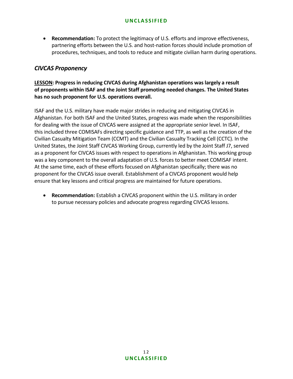**Recommendation:** To protect the legitimacy of U.S. efforts and improve effectiveness, partnering efforts between the U.S. and host-nation forces should include promotion of procedures, techniques, and tools to reduce and mitigate civilian harm during operations.

#### *CIVCAS Proponency*

#### **LESSON: Progress in reducing CIVCAS during Afghanistan operations was largely a result of proponents within ISAF and the Joint Staff promoting needed changes. The United States has no such proponent for U.S. operations overall.**

ISAF and the U.S. military have made major strides in reducing and mitigating CIVCAS in Afghanistan. For both ISAF and the United States, progress was made when the responsibilities for dealing with the issue of CIVCAS were assigned at the appropriate senior level. In ISAF, this included three COMISAFs directing specific guidance and TTP, as well as the creation of the Civilian Casualty Mitigation Team (CCMT) and the Civilian Casualty Tracking Cell (CCTC). In the United States, the Joint Staff CIVCAS Working Group, currently led by the Joint Staff J7, served as a proponent for CIVCAS issues with respect to operations in Afghanistan. This working group was a key component to the overall adaptation of U.S. forces to better meet COMISAF intent. At the same time, each of these efforts focused on Afghanistan specifically; there was no proponent for the CIVCAS issue overall. Establishment of a CIVCAS proponent would help ensure that key lessons and critical progress are maintained for future operations.

 **Recommendation:** Establish a CIVCAS proponent within the U.S. military in order to pursue necessary policies and advocate progress regarding CIVCAS lessons.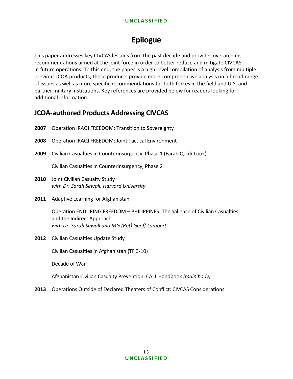# **Epilogue**

This paper addresses key CIVCAS lessons from the past decade and provides overarching recommendations aimed at the joint force in order to better reduce and mitigate CIVCAS in future operations. To this end, the paper is a high-level compilation of analysis from multiple previous JCOA products; these products provide more comprehensive analysis on a broad range of issues as well as more specific recommendations for both forces in the field and U.S. and partner military institutions. Key references are provided below for readers looking for additional information.

# **JCOA-authored Products Addressing CIVCAS**

| 2007 | Operation IRAQI FREEDOM: Transition to Sovereignty                                                                                                             |
|------|----------------------------------------------------------------------------------------------------------------------------------------------------------------|
| 2008 | <b>Operation IRAQI FREEDOM: Joint Tactical Environment</b>                                                                                                     |
| 2009 | Civilian Casualties in Counterinsurgency, Phase 1 (Farah Quick Look)                                                                                           |
|      | Civilian Casualties in Counterinsurgency, Phase 2                                                                                                              |
| 2010 | Joint Civilian Casualty Study<br>with Dr. Sarah Sewall, Harvard University                                                                                     |
| 2011 | Adaptive Learning for Afghanistan                                                                                                                              |
|      | Operation ENDURING FREEDOM - PHILIPPINES: The Salience of Civilian Casualties<br>and the Indirect Approach<br>with Dr. Sarah Sewall and MG (Ret) Geoff Lambert |
| 2012 | Civilian Casualties Update Study                                                                                                                               |
|      | Civilian Casualties in Afghanistan (TF 3-10)                                                                                                                   |

Decade of War

Afghanistan Civilian Casualty Prevention, CALL Handbook *(main body)*

**2013** Operations Outside of Declared Theaters of Conflict: CIVCAS Considerations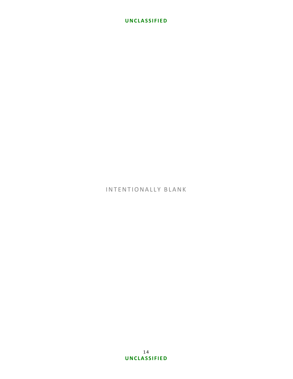# INTENTIONALLY BLANK